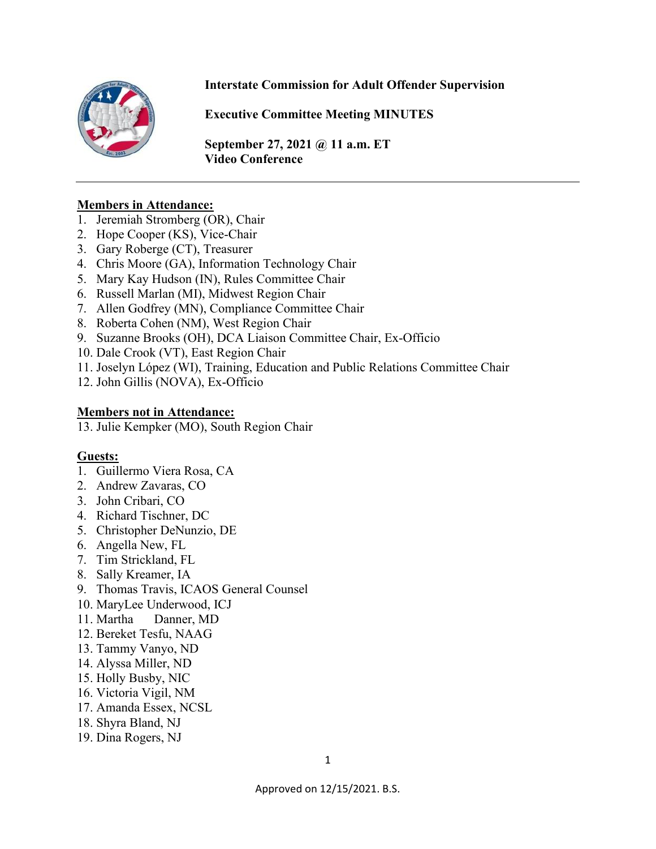

### **Interstate Commission for Adult Offender Supervision**

**Executive Committee Meeting MINUTES**

**September 27, 2021 @ 11 a.m. ET Video Conference** 

#### **Members in Attendance:**

- 1. Jeremiah Stromberg (OR), Chair
- 2. Hope Cooper (KS), Vice-Chair
- 3. Gary Roberge (CT), Treasurer
- 4. Chris Moore (GA), Information Technology Chair
- 5. Mary Kay Hudson (IN), Rules Committee Chair
- 6. Russell Marlan (MI), Midwest Region Chair
- 7. Allen Godfrey (MN), Compliance Committee Chair
- 8. Roberta Cohen (NM), West Region Chair
- 9. Suzanne Brooks (OH), DCA Liaison Committee Chair, Ex-Officio
- 10. Dale Crook (VT), East Region Chair
- 11. Joselyn López (WI), Training, Education and Public Relations Committee Chair
- 12. John Gillis (NOVA), Ex-Officio

#### **Members not in Attendance:**

13. Julie Kempker (MO), South Region Chair

#### **Guests:**

- 1. Guillermo Viera Rosa, CA
- 2. Andrew Zavaras, CO
- 3. John Cribari, CO
- 4. Richard Tischner, DC
- 5. Christopher DeNunzio, DE
- 6. Angella New, FL
- 7. Tim Strickland, FL
- 8. Sally Kreamer, IA
- 9. Thomas Travis, ICAOS General Counsel
- 10. MaryLee Underwood, ICJ
- 11. Martha Danner, MD
- 12. Bereket Tesfu, NAAG
- 13. Tammy Vanyo, ND
- 14. Alyssa Miller, ND
- 15. Holly Busby, NIC
- 16. Victoria Vigil, NM
- 17. Amanda Essex, NCSL
- 18. Shyra Bland, NJ
- 19. Dina Rogers, NJ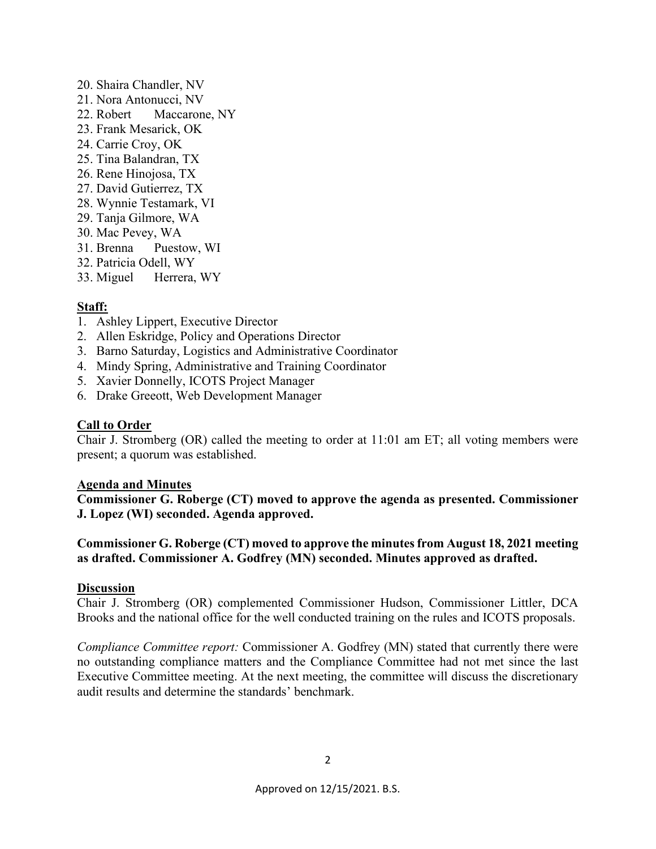- 20. Shaira Chandler, NV
- 21. Nora Antonucci, NV
- 22. Robert Maccarone, NY
- 23. Frank Mesarick, OK
- 24. Carrie Croy, OK
- 25. Tina Balandran, TX
- 26. Rene Hinojosa, TX
- 27. David Gutierrez, TX
- 28. Wynnie Testamark, VI
- 29. Tanja Gilmore, WA
- 30. Mac Pevey, WA
- 31. Brenna Puestow, WI
- 32. Patricia Odell, WY
- 33. Miguel Herrera, WY

#### **Staff:**

- 1. Ashley Lippert, Executive Director
- 2. Allen Eskridge, Policy and Operations Director
- 3. Barno Saturday, Logistics and Administrative Coordinator
- 4. Mindy Spring, Administrative and Training Coordinator
- 5. Xavier Donnelly, ICOTS Project Manager
- 6. Drake Greeott, Web Development Manager

#### **Call to Order**

Chair J. Stromberg (OR) called the meeting to order at 11:01 am ET; all voting members were present; a quorum was established.

#### **Agenda and Minutes**

**Commissioner G. Roberge (CT) moved to approve the agenda as presented. Commissioner J. Lopez (WI) seconded. Agenda approved.** 

#### **Commissioner G. Roberge (CT) moved to approve the minutes from August 18, 2021 meeting as drafted. Commissioner A. Godfrey (MN) seconded. Minutes approved as drafted.**

#### **Discussion**

Chair J. Stromberg (OR) complemented Commissioner Hudson, Commissioner Littler, DCA Brooks and the national office for the well conducted training on the rules and ICOTS proposals.

*Compliance Committee report:* Commissioner A. Godfrey (MN) stated that currently there were no outstanding compliance matters and the Compliance Committee had not met since the last Executive Committee meeting. At the next meeting, the committee will discuss the discretionary audit results and determine the standards' benchmark.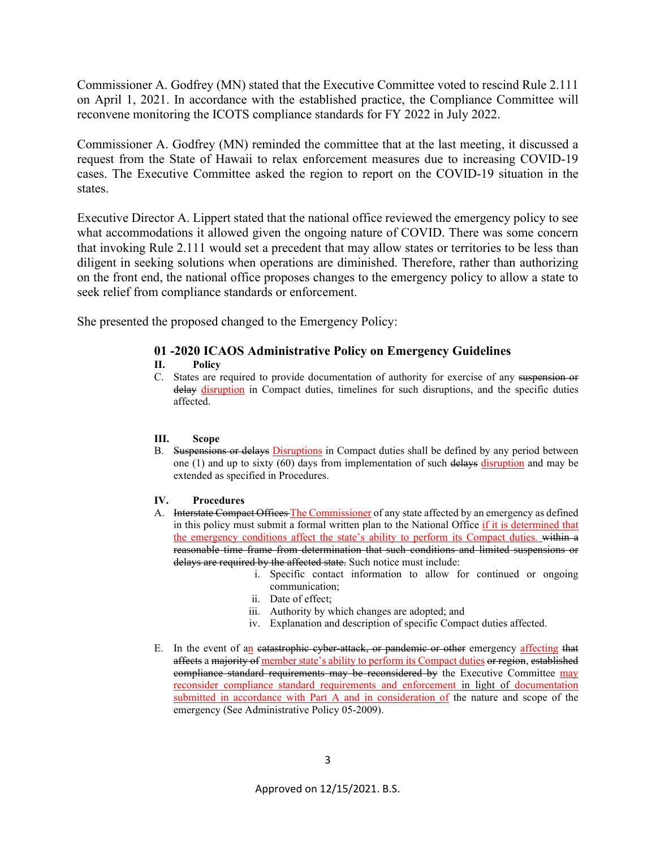Commissioner A. Godfrey (MN) stated that the Executive Committee voted to rescind Rule 2.111 on April 1, 2021. In accordance with the established practice, the Compliance Committee will reconvene monitoring the ICOTS compliance standards for FY 2022 in July 2022.

Commissioner A. Godfrey (MN) reminded the committee that at the last meeting, it discussed a request from the State of Hawaii to relax enforcement measures due to increasing COVID-19 cases. The Executive Committee asked the region to report on the COVID-19 situation in the states.

Executive Director A. Lippert stated that the national office reviewed the emergency policy to see what accommodations it allowed given the ongoing nature of COVID. There was some concern that invoking Rule 2.111 would set a precedent that may allow states or territories to be less than diligent in seeking solutions when operations are diminished. Therefore, rather than authorizing on the front end, the national office proposes changes to the emergency policy to allow a state to seek relief from compliance standards or enforcement.

She presented the proposed changed to the Emergency Policy:

#### **01 -2020 ICAOS Administrative Policy on Emergency Guidelines**

#### **II. Policy**

C. States are required to provide documentation of authority for exercise of any suspension or delay disruption in Compact duties, timelines for such disruptions, and the specific duties affected.

#### **III. Scope**

B. Suspensions or delays Disruptions in Compact duties shall be defined by any period between one (1) and up to sixty (60) days from implementation of such delays disruption and may be extended as specified in Procedures.

#### **IV. Procedures**

- A. Interstate Compact Offices The Commissioner of any state affected by an emergency as defined in this policy must submit a formal written plan to the National Office if it is determined that the emergency conditions affect the state's ability to perform its Compact duties. within a reasonable time frame from determination that such conditions and limited suspensions or delays are required by the affected state. Such notice must include:
	- i. Specific contact information to allow for continued or ongoing communication;
	- ii. Date of effect;
	- iii. Authority by which changes are adopted; and
	- iv. Explanation and description of specific Compact duties affected.
- E. In the event of an eatastrophic cyber attack, or pandemic or other emergency affecting that affects a majority of member state's ability to perform its Compact duties or region, established compliance standard requirements may be reconsidered by the Executive Committee may reconsider compliance standard requirements and enforcement in light of documentation submitted in accordance with Part A and in consideration of the nature and scope of the emergency (See Administrative Policy 05-2009).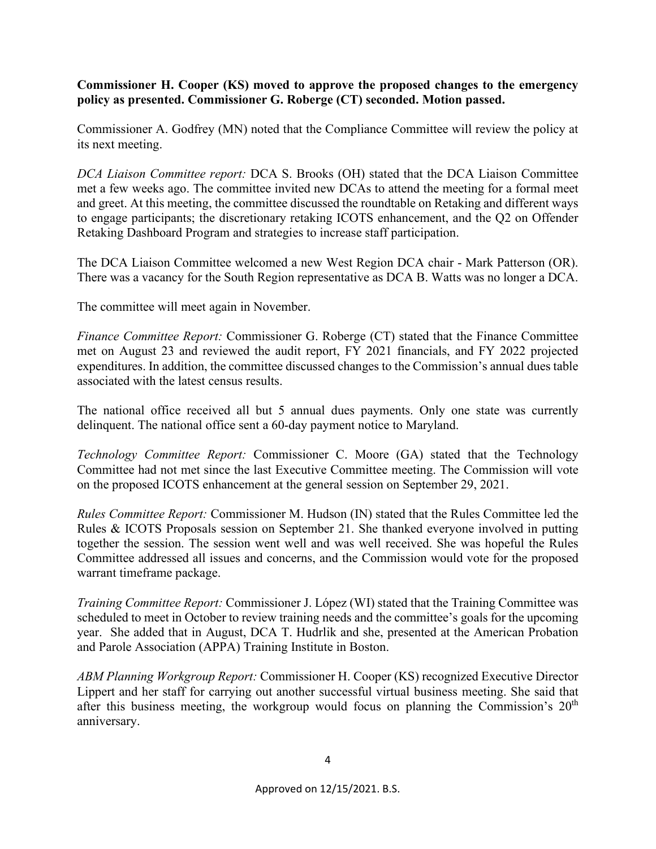**Commissioner H. Cooper (KS) moved to approve the proposed changes to the emergency policy as presented. Commissioner G. Roberge (CT) seconded. Motion passed.** 

Commissioner A. Godfrey (MN) noted that the Compliance Committee will review the policy at its next meeting.

*DCA Liaison Committee report:* DCA S. Brooks (OH) stated that the DCA Liaison Committee met a few weeks ago. The committee invited new DCAs to attend the meeting for a formal meet and greet. At this meeting, the committee discussed the roundtable on Retaking and different ways to engage participants; the discretionary retaking ICOTS enhancement, and the Q2 on Offender Retaking Dashboard Program and strategies to increase staff participation.

The DCA Liaison Committee welcomed a new West Region DCA chair - Mark Patterson (OR). There was a vacancy for the South Region representative as DCA B. Watts was no longer a DCA.

The committee will meet again in November.

*Finance Committee Report:* Commissioner G. Roberge (CT) stated that the Finance Committee met on August 23 and reviewed the audit report, FY 2021 financials, and FY 2022 projected expenditures. In addition, the committee discussed changes to the Commission's annual dues table associated with the latest census results.

The national office received all but 5 annual dues payments. Only one state was currently delinquent. The national office sent a 60-day payment notice to Maryland.

*Technology Committee Report:* Commissioner C. Moore (GA) stated that the Technology Committee had not met since the last Executive Committee meeting. The Commission will vote on the proposed ICOTS enhancement at the general session on September 29, 2021.

*Rules Committee Report:* Commissioner M. Hudson (IN) stated that the Rules Committee led the Rules & ICOTS Proposals session on September 21. She thanked everyone involved in putting together the session. The session went well and was well received. She was hopeful the Rules Committee addressed all issues and concerns, and the Commission would vote for the proposed warrant timeframe package.

*Training Committee Report:* Commissioner J. López (WI) stated that the Training Committee was scheduled to meet in October to review training needs and the committee's goals for the upcoming year. She added that in August, DCA T. Hudrlik and she, presented at the American Probation and Parole Association (APPA) Training Institute in Boston.

*ABM Planning Workgroup Report:* Commissioner H. Cooper (KS) recognized Executive Director Lippert and her staff for carrying out another successful virtual business meeting. She said that after this business meeting, the workgroup would focus on planning the Commission's  $20<sup>th</sup>$ anniversary.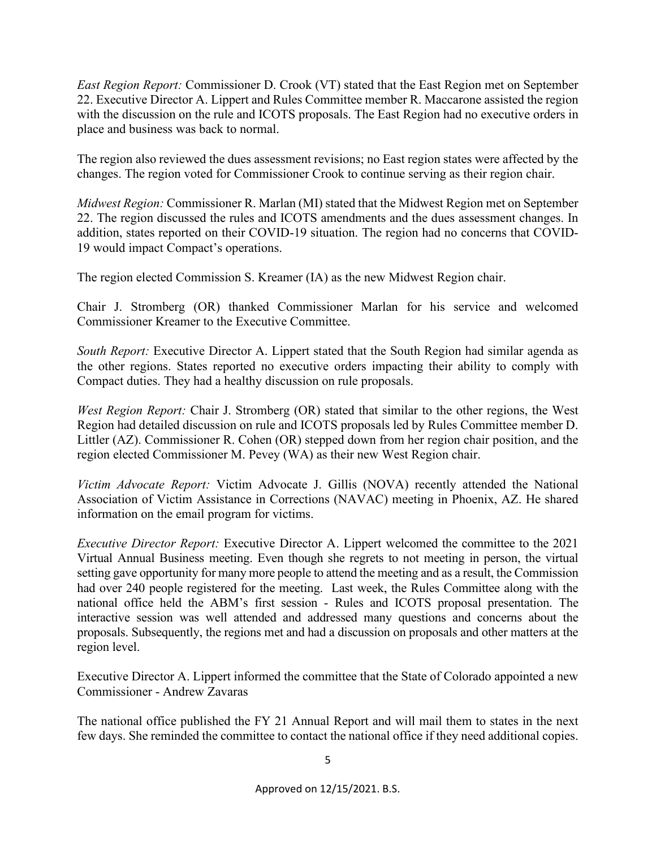*East Region Report:* Commissioner D. Crook (VT) stated that the East Region met on September 22. Executive Director A. Lippert and Rules Committee member R. Maccarone assisted the region with the discussion on the rule and ICOTS proposals. The East Region had no executive orders in place and business was back to normal.

The region also reviewed the dues assessment revisions; no East region states were affected by the changes. The region voted for Commissioner Crook to continue serving as their region chair.

*Midwest Region:* Commissioner R. Marlan (MI) stated that the Midwest Region met on September 22. The region discussed the rules and ICOTS amendments and the dues assessment changes. In addition, states reported on their COVID-19 situation. The region had no concerns that COVID-19 would impact Compact's operations.

The region elected Commission S. Kreamer (IA) as the new Midwest Region chair.

Chair J. Stromberg (OR) thanked Commissioner Marlan for his service and welcomed Commissioner Kreamer to the Executive Committee.

*South Report:* Executive Director A. Lippert stated that the South Region had similar agenda as the other regions. States reported no executive orders impacting their ability to comply with Compact duties. They had a healthy discussion on rule proposals.

*West Region Report:* Chair J. Stromberg (OR) stated that similar to the other regions, the West Region had detailed discussion on rule and ICOTS proposals led by Rules Committee member D. Littler (AZ). Commissioner R. Cohen (OR) stepped down from her region chair position, and the region elected Commissioner M. Pevey (WA) as their new West Region chair.

*Victim Advocate Report:* Victim Advocate J. Gillis (NOVA) recently attended the National Association of Victim Assistance in Corrections (NAVAC) meeting in Phoenix, AZ. He shared information on the email program for victims.

*Executive Director Report:* Executive Director A. Lippert welcomed the committee to the 2021 Virtual Annual Business meeting. Even though she regrets to not meeting in person, the virtual setting gave opportunity for many more people to attend the meeting and as a result, the Commission had over 240 people registered for the meeting. Last week, the Rules Committee along with the national office held the ABM's first session - Rules and ICOTS proposal presentation. The interactive session was well attended and addressed many questions and concerns about the proposals. Subsequently, the regions met and had a discussion on proposals and other matters at the region level.

Executive Director A. Lippert informed the committee that the State of Colorado appointed a new Commissioner - Andrew Zavaras

The national office published the FY 21 Annual Report and will mail them to states in the next few days. She reminded the committee to contact the national office if they need additional copies.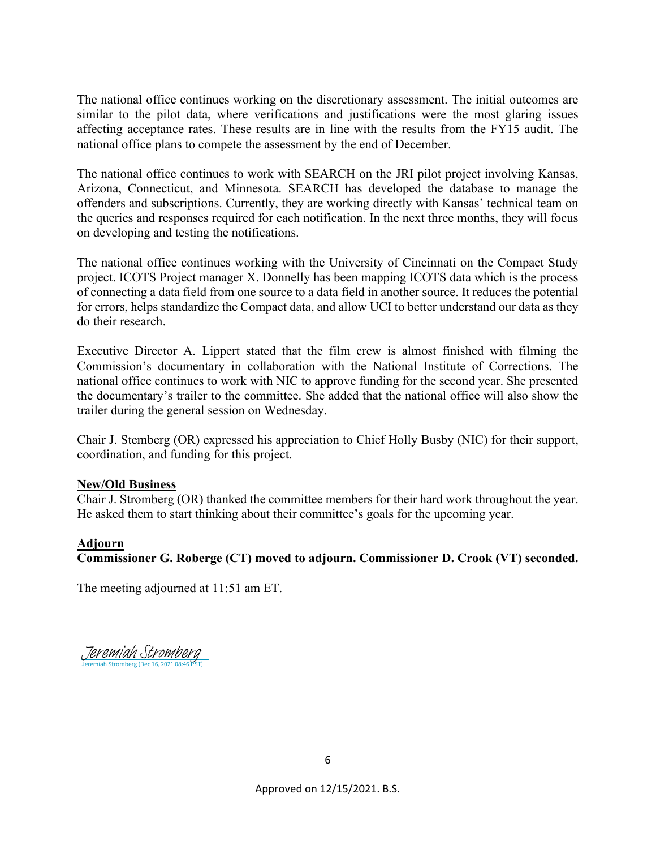The national office continues working on the discretionary assessment. The initial outcomes are similar to the pilot data, where verifications and justifications were the most glaring issues affecting acceptance rates. These results are in line with the results from the FY15 audit. The national office plans to compete the assessment by the end of December.

The national office continues to work with SEARCH on the JRI pilot project involving Kansas, Arizona, Connecticut, and Minnesota. SEARCH has developed the database to manage the offenders and subscriptions. Currently, they are working directly with Kansas' technical team on the queries and responses required for each notification. In the next three months, they will focus on developing and testing the notifications.

The national office continues working with the University of Cincinnati on the Compact Study project. ICOTS Project manager X. Donnelly has been mapping ICOTS data which is the process of connecting a data field from one source to a data field in another source. It reduces the potential for errors, helps standardize the Compact data, and allow UCI to better understand our data as they do their research.

Executive Director A. Lippert stated that the film crew is almost finished with filming the Commission's documentary in collaboration with the National Institute of Corrections. The national office continues to work with NIC to approve funding for the second year. She presented the documentary's trailer to the committee. She added that the national office will also show the trailer during the general session on Wednesday.

Chair J. Stemberg (OR) expressed his appreciation to Chief Holly Busby (NIC) for their support, coordination, and funding for this project.

#### **New/Old Business**

Chair J. Stromberg (OR) thanked the committee members for their hard work throughout the year. He asked them to start thinking about their committee's goals for the upcoming year.

#### **Adjourn**

#### **Commissioner G. Roberge (CT) moved to adjourn. Commissioner D. Crook (VT) seconded.**

The meeting adjourned at 11:51 am ET.

Jeremiah Stromberg (Dec 16, 2021 08:46 PST) [Jeremiah Stromberg](https://eu1.documents.adobe.com/verifier?tx=CBJCHBCAABAAIk-Emt2E4tKLztjkpyodN524S3AlPbUq)